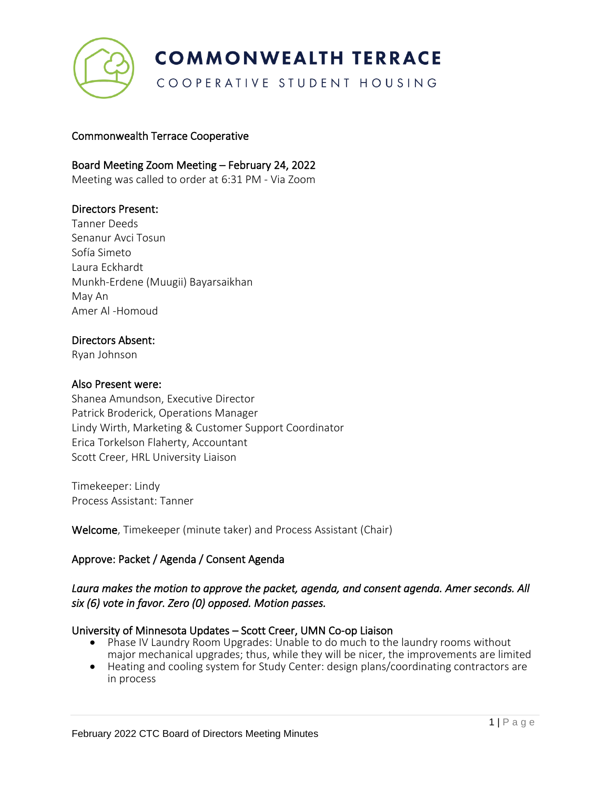

COOPERATIVE STUDENT HOUSING

### Commonwealth Terrace Cooperative

### Board Meeting Zoom Meeting – February 24, 2022

Meeting was called to order at 6:31 PM - Via Zoom

#### Directors Present:

Tanner Deeds Senanur Avci Tosun Sofía Simeto Laura Eckhardt Munkh-Erdene (Muugii) Bayarsaikhan May An Amer Al -Homoud

#### Directors Absent:

Ryan Johnson

#### Also Present were:

Shanea Amundson, Executive Director Patrick Broderick, Operations Manager Lindy Wirth, Marketing & Customer Support Coordinator Erica Torkelson Flaherty, Accountant Scott Creer, HRL University Liaison

Timekeeper: Lindy Process Assistant: Tanner

Welcome, Timekeeper (minute taker) and Process Assistant (Chair)

#### Approve: Packet / Agenda / Consent Agenda

# *Laura makes the motion to approve the packet, agenda, and consent agenda. Amer seconds. All six (6) vote in favor. Zero (0) opposed. Motion passes.*

#### University of Minnesota Updates – Scott Creer, UMN Co-op Liaison

- Phase IV Laundry Room Upgrades: Unable to do much to the laundry rooms without major mechanical upgrades; thus, while they will be nicer, the improvements are limited
- Heating and cooling system for Study Center: design plans/coordinating contractors are in process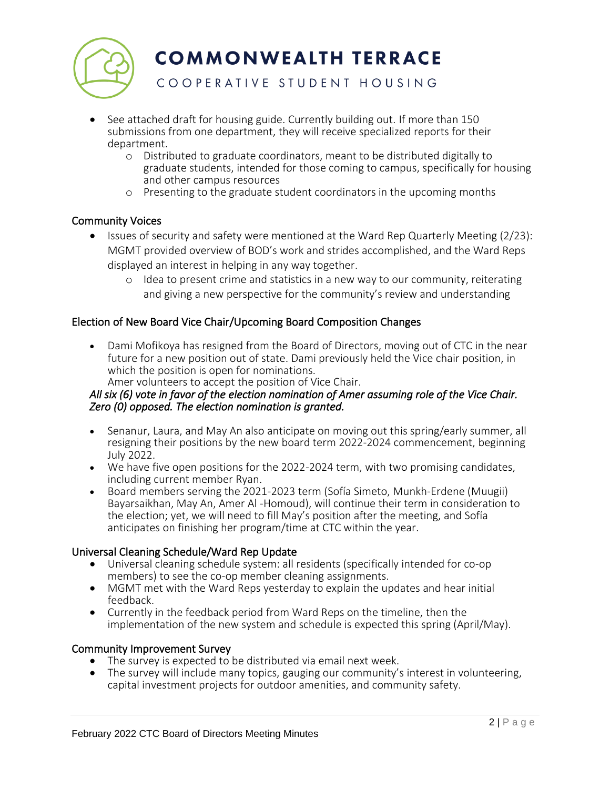

COOPERATIVE STUDENT HOUSING

- See attached draft for housing guide. Currently building out. If more than 150 submissions from one department, they will receive specialized reports for their department.
	- o Distributed to graduate coordinators, meant to be distributed digitally to graduate students, intended for those coming to campus, specifically for housing and other campus resources
	- o Presenting to the graduate student coordinators in the upcoming months

# Community Voices

- Issues of security and safety were mentioned at the Ward Rep Quarterly Meeting (2/23): MGMT provided overview of BOD's work and strides accomplished, and the Ward Reps displayed an interest in helping in any way together.
	- o Idea to present crime and statistics in a new way to our community, reiterating and giving a new perspective for the community's review and understanding

# Election of New Board Vice Chair/Upcoming Board Composition Changes

- Dami Mofikoya has resigned from the Board of Directors, moving out of CTC in the near future for a new position out of state. Dami previously held the Vice chair position, in which the position is open for nominations.
	- Amer volunteers to accept the position of Vice Chair.

#### *All six (6) vote in favor of the election nomination of Amer assuming role of the Vice Chair. Zero (0) opposed. The election nomination is granted.*

- Senanur, Laura, and May An also anticipate on moving out this spring/early summer, all resigning their positions by the new board term 2022-2024 commencement, beginning July 2022.
- We have five open positions for the 2022-2024 term, with two promising candidates, including current member Ryan.
- Board members serving the 2021-2023 term (Sofía Simeto, Munkh-Erdene (Muugii) Bayarsaikhan, May An, Amer Al -Homoud), will continue their term in consideration to the election; yet, we will need to fill May's position after the meeting, and Sofía anticipates on finishing her program/time at CTC within the year.

#### Universal Cleaning Schedule/Ward Rep Update

- Universal cleaning schedule system: all residents (specifically intended for co-op members) to see the co-op member cleaning assignments.
- MGMT met with the Ward Reps yesterday to explain the updates and hear initial feedback.
- Currently in the feedback period from Ward Reps on the timeline, then the implementation of the new system and schedule is expected this spring (April/May).

#### Community Improvement Survey

- The survey is expected to be distributed via email next week.
- The survey will include many topics, gauging our community's interest in volunteering, capital investment projects for outdoor amenities, and community safety.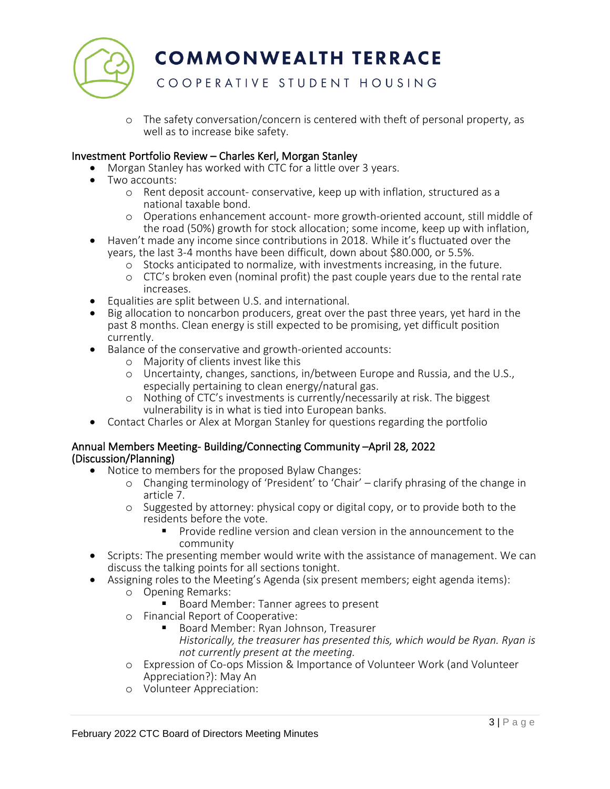

# COOPERATIVE STUDENT HOUSING

o The safety conversation/concern is centered with theft of personal property, as well as to increase bike safety.

#### Investment Portfolio Review – Charles Kerl, Morgan Stanley

- Morgan Stanley has worked with CTC for a little over 3 years.
- Two accounts:
	- o Rent deposit account- conservative, keep up with inflation, structured as a national taxable bond.
	- o Operations enhancement account- more growth-oriented account, still middle of the road (50%) growth for stock allocation; some income, keep up with inflation,
- Haven't made any income since contributions in 2018. While it's fluctuated over the years, the last 3-4 months have been difficult, down about \$80.000, or 5.5%.
	- o Stocks anticipated to normalize, with investments increasing, in the future.
	- o CTC's broken even (nominal profit) the past couple years due to the rental rate increases.
- Equalities are split between U.S. and international.
- Big allocation to noncarbon producers, great over the past three years, yet hard in the past 8 months. Clean energy is still expected to be promising, yet difficult position currently.
- Balance of the conservative and growth-oriented accounts:
	- o Majority of clients invest like this
	- o Uncertainty, changes, sanctions, in/between Europe and Russia, and the U.S., especially pertaining to clean energy/natural gas.
	- o Nothing of CTC's investments is currently/necessarily at risk. The biggest vulnerability is in what is tied into European banks.
- Contact Charles or Alex at Morgan Stanley for questions regarding the portfolio

#### Annual Members Meeting- Building/Connecting Community –April 28, 2022 (Discussion/Planning)

- Notice to members for the proposed Bylaw Changes:
	- o Changing terminology of 'President' to 'Chair' clarify phrasing of the change in article 7.
	- o Suggested by attorney: physical copy or digital copy, or to provide both to the residents before the vote.
		- Provide redline version and clean version in the announcement to the community
- Scripts: The presenting member would write with the assistance of management. We can discuss the talking points for all sections tonight.
- Assigning roles to the Meeting's Agenda (six present members; eight agenda items):
	- o Opening Remarks:
		- Board Member: Tanner agrees to present
	- o Financial Report of Cooperative:
		- Board Member: Ryan Johnson, Treasurer *Historically, the treasurer has presented this, which would be Ryan. Ryan is not currently present at the meeting.*
	- o Expression of Co-ops Mission & Importance of Volunteer Work (and Volunteer Appreciation?): May An
	- o Volunteer Appreciation: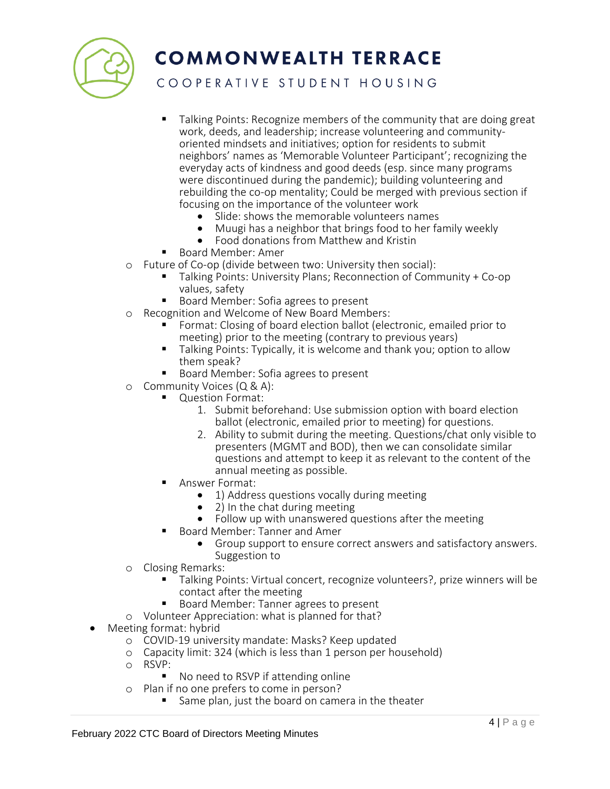

COOPERATIVE STUDENT HOUSING

- Talking Points: Recognize members of the community that are doing great work, deeds, and leadership; increase volunteering and communityoriented mindsets and initiatives; option for residents to submit neighbors' names as 'Memorable Volunteer Participant'; recognizing the everyday acts of kindness and good deeds (esp. since many programs were discontinued during the pandemic); building volunteering and rebuilding the co-op mentality; Could be merged with previous section if focusing on the importance of the volunteer work
	- Slide: shows the memorable volunteers names
	- Muugi has a neighbor that brings food to her family weekly
	- Food donations from Matthew and Kristin
- Board Member: Amer
- o Future of Co-op (divide between two: University then social):
	- Talking Points: University Plans; Reconnection of Community + Co-op values, safety
	- Board Member: Sofia agrees to present
- o Recognition and Welcome of New Board Members:
	- Format: Closing of board election ballot (electronic, emailed prior to meeting) prior to the meeting (contrary to previous years)
	- Talking Points: Typically, it is welcome and thank you; option to allow them speak?
	- Board Member: Sofia agrees to present
- o Community Voices (Q & A):
	- Question Format:
		- 1. Submit beforehand: Use submission option with board election ballot (electronic, emailed prior to meeting) for questions.
		- 2. Ability to submit during the meeting. Questions/chat only visible to presenters (MGMT and BOD), then we can consolidate similar questions and attempt to keep it as relevant to the content of the annual meeting as possible.
	- Answer Format:
		- 1) Address questions vocally during meeting
		- 2) In the chat during meeting
		- Follow up with unanswered questions after the meeting
	- **Board Member: Tanner and Amer** 
		- Group support to ensure correct answers and satisfactory answers. Suggestion to
- o Closing Remarks:
	- Talking Points: Virtual concert, recognize volunteers?, prize winners will be contact after the meeting
	- Board Member: Tanner agrees to present
- o Volunteer Appreciation: what is planned for that?
- Meeting format: hybrid
	- o COVID-19 university mandate: Masks? Keep updated
	- o Capacity limit: 324 (which is less than 1 person per household)
	- o RSVP:
		- No need to RSVP if attending online
	- o Plan if no one prefers to come in person?
		- Same plan, just the board on camera in the theater